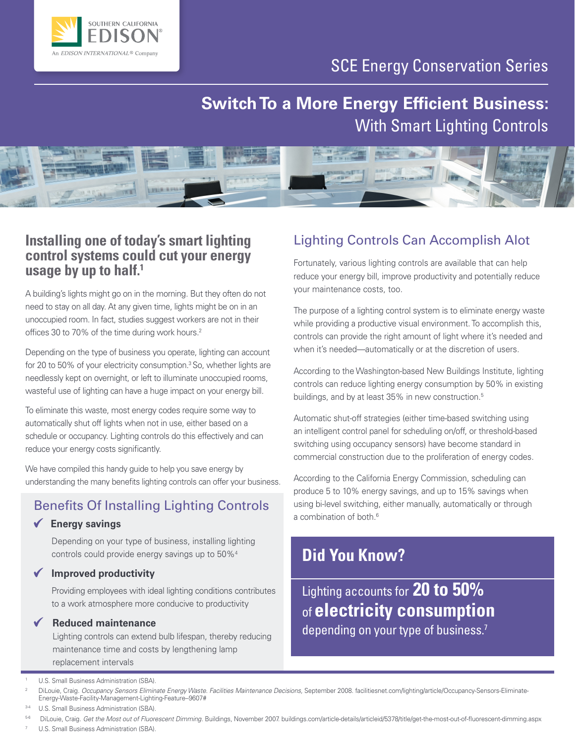

## SCE Energy Conservation Series

# **Switch To a More Energy Efficient Business:** With Smart Lighting Controls



### **Installing one of today's smart lighting control systems could cut your energy usage by up to half.1**

A building's lights might go on in the morning. But they often do not need to stay on all day. At any given time, lights might be on in an unoccupied room. In fact, studies suggest workers are not in their offices 30 to 70% of the time during work hours.<sup>2</sup>

Depending on the type of business you operate, lighting can account for 20 to 50% of your electricity consumption.<sup>3</sup> So, whether lights are needlessly kept on overnight, or left to illuminate unoccupied rooms, wasteful use of lighting can have a huge impact on your energy bill.

To eliminate this waste, most energy codes require some way to automatically shut off lights when not in use, either based on a schedule or occupancy. Lighting controls do this effectively and can reduce your energy costs significantly.

We have compiled this handy guide to help you save energy by understanding the many benefits lighting controls can offer your business.

## Benefits Of Installing Lighting Controls

### **Energy savings**

Depending on your type of business, installing lighting controls could provide energy savings up to 50%4

**Improved productivity**

Providing employees with ideal lighting conditions contributes to a work atmosphere more conducive to productivity

#### **Reduced maintenance**

Lighting controls can extend bulb lifespan, thereby reducing maintenance time and costs by lengthening lamp replacement intervals

#### <sup>1</sup> U.S. Small Business Administration (SBA).

U.S. Small Business Administration (SBA).

#### 5-6 DiLouie, Craig. *Get the Most out of Fluorescent Dimming.* Buildings, November 2007. [buildings.com/article-details/articleid/5378/title/get-the-most-out-of-fluorescent-dimming.aspx](http://www.buildings.com/article-details/articleid/5378/title/get-the-most-out-of-fluorescent-dimming.aspx)

U.S. Small Business Administration (SBA).

## Lighting Controls Can Accomplish Alot

Fortunately, various lighting controls are available that can help reduce your energy bill, improve productivity and potentially reduce your maintenance costs, too.

The purpose of a lighting control system is to eliminate energy waste while providing a productive visual environment. To accomplish this, controls can provide the right amount of light where it's needed and when it's needed—automatically or at the discretion of users.

According to the Washington-based New Buildings Institute, lighting controls can reduce lighting energy consumption by 50% in existing buildings, and by at least 35% in new construction.<sup>5</sup>

Automatic shut-off strategies (either time-based switching using an intelligent control panel for scheduling on/off, or threshold-based switching using occupancy sensors) have become standard in commercial construction due to the proliferation of energy codes.

According to the California Energy Commission, scheduling can produce 5 to 10% energy savings, and up to 15% savings when using bi-level switching, either manually, automatically or through a combination of both.<sup>6</sup>

## **Did You Know?**

Lighting accounts for **20 to 50%**  of **electricity consumption** depending on your type of business.<sup>7</sup>

<sup>2</sup> DiLouie, Craig. *Occupancy Sensors Eliminate Energy Waste. Facilities Maintenance Decisions,* September 2008. [facilitiesnet.com/lighting/article/Occupancy-Sensors-Eliminate-](http://facilitiesnet.com/lighting/article/Occupancy-Sensors-Eliminate-Energy-Waste-Facility-Management-Lighting-Feature--9607#)[Energy-Waste-Facility-Management-Lighting-Feature--9607#](http://facilitiesnet.com/lighting/article/Occupancy-Sensors-Eliminate-Energy-Waste-Facility-Management-Lighting-Feature--9607#)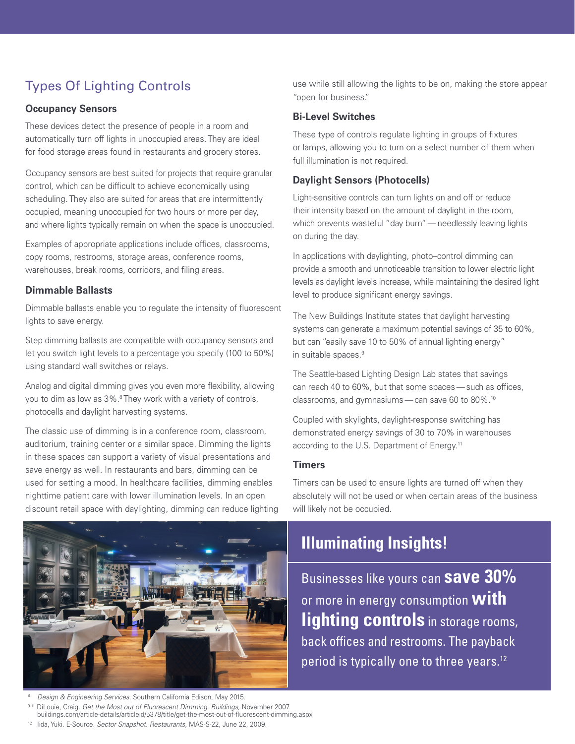## Types Of Lighting Controls

#### **Occupancy Sensors**

These devices detect the presence of people in a room and automatically turn off lights in unoccupied areas. They are ideal for food storage areas found in restaurants and grocery stores.

Occupancy sensors are best suited for projects that require granular control, which can be difficult to achieve economically using scheduling. They also are suited for areas that are intermittently occupied, meaning unoccupied for two hours or more per day, and where lights typically remain on when the space is unoccupied.

Examples of appropriate applications include offices, classrooms, copy rooms, restrooms, storage areas, conference rooms, warehouses, break rooms, corridors, and filing areas.

#### **Dimmable Ballasts**

Dimmable ballasts enable you to regulate the intensity of fluorescent lights to save energy.

Step dimming ballasts are compatible with occupancy sensors and let you switch light levels to a percentage you specify (100 to 50%) using standard wall switches or relays.

Analog and digital dimming gives you even more flexibility, allowing you to dim as low as 3%.8 They work with a variety of controls, photocells and daylight harvesting systems.

The classic use of dimming is in a conference room, classroom, auditorium, training center or a similar space. Dimming the lights in these spaces can support a variety of visual presentations and save energy as well. In restaurants and bars, dimming can be used for setting a mood. In healthcare facilities, dimming enables nighttime patient care with lower illumination levels. In an open discount retail space with daylighting, dimming can reduce lighting



8 *Design & Engineering Services.* Southern California Edison, May 2015. 9-11 DiLouie, Craig. *Get the Most out of Fluorescent Dimming. Buildings,* November 2007. [buildings.com/article-details/articleid/5378/title/get-the-most-out-of-fluorescent-dimming.aspx](http://www.buildings.com/article-details/articleid/5378/title/get-the-most-out-of-fluorescent-dimming.aspx) <sup>12</sup> Iida, Yuki. E-Source. *Sector Snapshot. Restaurants,* MAS-S-22, June 22, 2009.

use while still allowing the lights to be on, making the store appear "open for business."

#### **Bi-Level Switches**

These type of controls regulate lighting in groups of fixtures or lamps, allowing you to turn on a select number of them when full illumination is not required.

#### **Daylight Sensors (Photocells)**

Light-sensitive controls can turn lights on and off or reduce their intensity based on the amount of daylight in the room, which prevents wasteful "day burn"—needlessly leaving lights on during the day.

In applications with daylighting, photo–control dimming can provide a smooth and unnoticeable transition to lower electric light levels as daylight levels increase, while maintaining the desired light level to produce significant energy savings.

The New Buildings Institute states that daylight harvesting systems can generate a maximum potential savings of 35 to 60%, but can "easily save 10 to 50% of annual lighting energy" in suitable spaces.9

The Seattle-based Lighting Design Lab states that savings can reach 40 to 60%, but that some spaces—such as offices, classrooms, and gymnasiums—can save 60 to 80%.10

Coupled with skylights, daylight-response switching has demonstrated energy savings of 30 to 70% in warehouses according to the U.S. Department of Energy.<sup>11</sup>

#### **Timers**

Timers can be used to ensure lights are turned off when they absolutely will not be used or when certain areas of the business will likely not be occupied.

# **Illuminating Insights!**

Businesses like yours can **save 30%** or more in energy consumption **with lighting controls** in storage rooms, back offices and restrooms. The payback period is typically one to three years.<sup>12</sup>